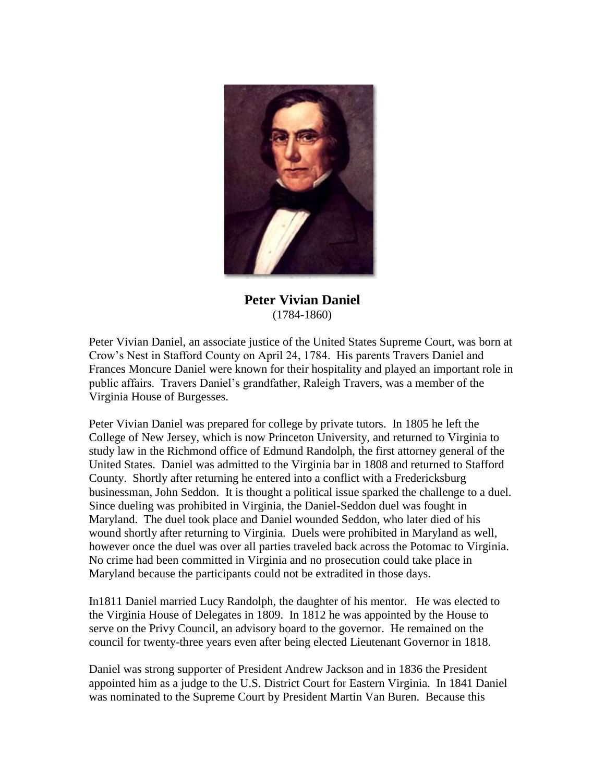

**Peter Vivian Daniel** (1784-1860)

Peter Vivian Daniel, an associate justice of the United States Supreme Court, was born at Crow's Nest in Stafford County on April 24, 1784. His parents Travers Daniel and Frances Moncure Daniel were known for their hospitality and played an important role in public affairs. Travers Daniel's grandfather, Raleigh Travers, was a member of the Virginia House of Burgesses.

Peter Vivian Daniel was prepared for college by private tutors. In 1805 he left the College of New Jersey, which is now Princeton University, and returned to Virginia to study law in the Richmond office of Edmund Randolph, the first attorney general of the United States. Daniel was admitted to the Virginia bar in 1808 and returned to Stafford County. Shortly after returning he entered into a conflict with a Fredericksburg businessman, John Seddon. It is thought a political issue sparked the challenge to a duel. Since dueling was prohibited in Virginia, the Daniel-Seddon duel was fought in Maryland. The duel took place and Daniel wounded Seddon, who later died of his wound shortly after returning to Virginia. Duels were prohibited in Maryland as well, however once the duel was over all parties traveled back across the Potomac to Virginia. No crime had been committed in Virginia and no prosecution could take place in Maryland because the participants could not be extradited in those days.

In1811 Daniel married Lucy Randolph, the daughter of his mentor. He was elected to the Virginia House of Delegates in 1809. In 1812 he was appointed by the House to serve on the Privy Council, an advisory board to the governor. He remained on the council for twenty-three years even after being elected Lieutenant Governor in 1818.

Daniel was strong supporter of President Andrew Jackson and in 1836 the President appointed him as a judge to the U.S. District Court for Eastern Virginia. In 1841 Daniel was nominated to the Supreme Court by President Martin Van Buren. Because this